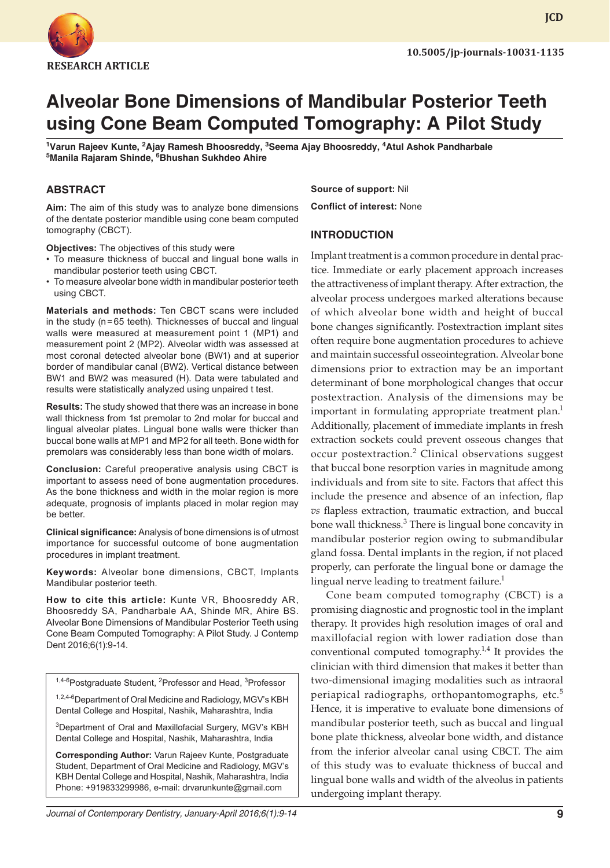

**JCD**

# **Alveolar Bone Dimensions of Mandibular Posterior Teeth using Cone Beam Computed Tomography: A Pilot Study**

<sup>1</sup>Varun Rajeev Kunte, <sup>2</sup>Ajay Ramesh Bhoosreddy, <sup>3</sup>Seema Ajay Bhoosreddy, <sup>4</sup>Atul Ashok Pandharbale **5 Manila Rajaram Shinde, 6 Bhushan Sukhdeo Ahire**

# **ABSTRACT**

**Aim:** The aim of this study was to analyze bone dimensions of the dentate posterior mandible using cone beam computed tomography (CBCT).

**Objectives:** The objectives of this study were

- To measure thickness of buccal and lingual bone walls in mandibular posterior teeth using CBCT.
- To measure alveolar bone width in mandibular posterior teeth using CBCT.

**Materials and methods:** Ten CBCT scans were included in the study (n=65 teeth). Thicknesses of buccal and lingual walls were measured at measurement point 1 (MP1) and measurement point 2 (MP2). Alveolar width was assessed at most coronal detected alveolar bone (BW1) and at superior border of mandibular canal (BW2). Vertical distance between BW1 and BW2 was measured (H). Data were tabulated and results were statistically analyzed using unpaired t test.

**Results:** The study showed that there was an increase in bone wall thickness from 1st premolar to 2nd molar for buccal and lingual alveolar plates. Lingual bone walls were thicker than buccal bone walls at MP1 and MP2 for all teeth. Bone width for premolars was considerably less than bone width of molars.

**Conclusion:** Careful preoperative analysis using CBCT is important to assess need of bone augmentation procedures. As the bone thickness and width in the molar region is more adequate, prognosis of implants placed in molar region may be better.

**Clinical significance:** Analysis of bone dimensions is of utmost importance for successful outcome of bone augmentation procedures in implant treatment.

**Keywords:** Alveolar bone dimensions, CBCT, Implants Mandibular posterior teeth.

**How to cite this article:** Kunte VR, Bhoosreddy AR, Bhoosreddy SA, Pandharbale AA, Shinde MR, Ahire BS. Alveolar Bone Dimensions of Mandibular Posterior Teeth using Cone Beam Computed Tomography: A Pilot Study. J Contemp Dent 2016;6(1):9-14.

<sup>1,4-6</sup>Postgraduate Student, <sup>2</sup>Professor and Head, <sup>3</sup>Professor

1,2,4-6 Department of Oral Medicine and Radiology, MGV's KBH Dental College and Hospital, Nashik, Maharashtra, India

<sup>3</sup>Department of Oral and Maxillofacial Surgery, MGV's KBH Dental College and Hospital, Nashik, Maharashtra, India

**Corresponding Author:** Varun Rajeev Kunte, Postgraduate Student, Department of Oral Medicine and Radiology, MGV's KBH Dental College and Hospital, Nashik, Maharashtra, India Phone: +919833299986, e-mail: drvarunkunte@gmail.com

**Source of support:** Nil

**Conflict of interest:** None

#### **INTRODUCTION**

Implant treatment is a common procedure in dental practice. Immediate or early placement approach increases the attractiveness of implant therapy. After extraction, the alveolar process undergoes marked alterations because of which alveolar bone width and height of buccal bone changes significantly. Postextraction implant sites often require bone augmentation procedures to achieve and maintain successful osseointegration. Alveolar bone dimensions prior to extraction may be an important determinant of bone morphological changes that occur postextraction. Analysis of the dimensions may be important in formulating appropriate treatment plan.<sup>1</sup> Additionally, placement of immediate implants in fresh extraction sockets could prevent osseous changes that occur postextraction.<sup>2</sup> Clinical observations suggest that buccal bone resorption varies in magnitude among individuals and from site to site. Factors that affect this include the presence and absence of an infection, flap *vs* flapless extraction, traumatic extraction, and buccal bone wall thickness.<sup>3</sup> There is lingual bone concavity in mandibular posterior region owing to submandibular gland fossa. Dental implants in the region, if not placed properly, can perforate the lingual bone or damage the lingual nerve leading to treatment failure.<sup>1</sup>

Cone beam computed tomography (CBCT) is a promising diagnostic and prognostic tool in the implant therapy. It provides high resolution images of oral and maxillofacial region with lower radiation dose than conventional computed tomography.<sup>1,4</sup> It provides the clinician with third dimension that makes it better than two-dimensional imaging modalities such as intraoral periapical radiographs, orthopantomographs, etc.<sup>5</sup> Hence, it is imperative to evaluate bone dimensions of mandibular posterior teeth, such as buccal and lingual bone plate thickness, alveolar bone width, and distance from the inferior alveolar canal using CBCT. The aim of this study was to evaluate thickness of buccal and lingual bone walls and width of the alveolus in patients undergoing implant therapy.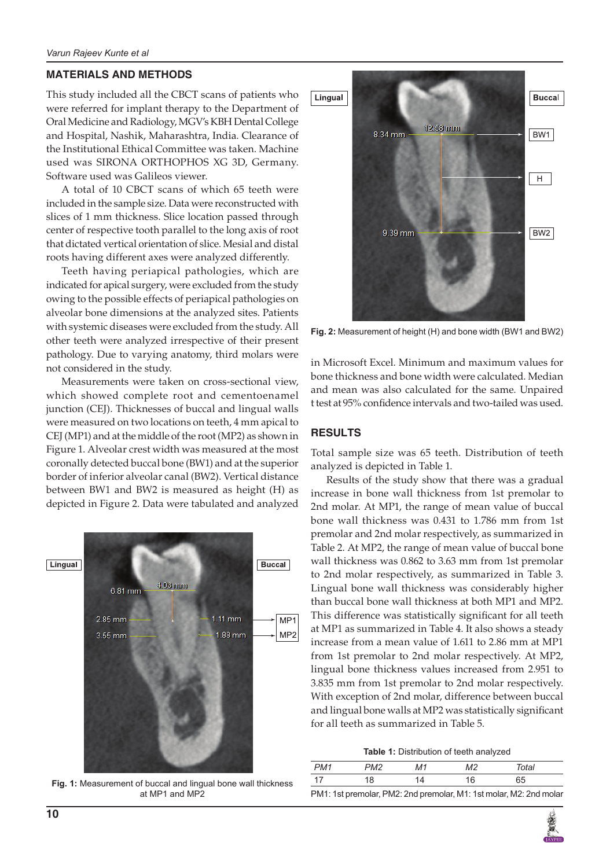#### **MATERIALS AND METHODS**

This study included all the CBCT scans of patients who were referred for implant therapy to the Department of Oral Medicine and Radiology, MGV's KBH Dental College and Hospital, Nashik, Maharashtra, India. Clearance of the Institutional Ethical Committee was taken. Machine used was SIRONA ORTHOPHOS XG 3D, Germany. Software used was Galileos viewer.

A total of 10 CBCT scans of which 65 teeth were included in the sample size. Data were reconstructed with slices of 1 mm thickness. Slice location passed through center of respective tooth parallel to the long axis of root that dictated vertical orientation of slice. Mesial and distal roots having different axes were analyzed differently.

Teeth having periapical pathologies, which are indicated for apical surgery, were excluded from the study owing to the possible effects of periapical pathologies on alveolar bone dimensions at the analyzed sites. Patients with systemic diseases were excluded from the study. All other teeth were analyzed irrespective of their present pathology. Due to varying anatomy, third molars were not considered in the study.

Measurements were taken on cross-sectional view, which showed complete root and cementoenamel junction (CEJ). Thicknesses of buccal and lingual walls were measured on two locations on teeth, 4 mm apical to CEJ (MP1) and at the middle of the root (MP2) as shown in Figure 1. Alveolar crest width was measured at the most coronally detected buccal bone (BW1) and at the superior border of inferior alveolar canal (BW2). Vertical distance between BW1 and BW2 is measured as height (H) as depicted in Figure 2. Data were tabulated and analyzed



**Fig. 1:** Measurement of buccal and lingual bone wall thickness at MP1 and MP2



**Fig. 2:** Measurement of height (H) and bone width (BW1 and BW2)

in Microsoft Excel. Minimum and maximum values for bone thickness and bone width were calculated. Median and mean was also calculated for the same. Unpaired t test at 95% confidence intervals and two-tailed was used.

# **RESULTS**

Total sample size was 65 teeth. Distribution of teeth analyzed is depicted in Table 1.

Results of the study show that there was a gradual increase in bone wall thickness from 1st premolar to 2nd molar. At MP1, the range of mean value of buccal bone wall thickness was 0.431 to 1.786 mm from 1st premolar and 2nd molar respectively, as summarized in Table 2. At MP2, the range of mean value of buccal bone wall thickness was 0.862 to 3.63 mm from 1st premolar to 2nd molar respectively, as summarized in Table 3. Lingual bone wall thickness was considerably higher than buccal bone wall thickness at both MP1 and MP2. This difference was statistically significant for all teeth at MP1 as summarized in Table 4. It also shows a steady increase from a mean value of 1.611 to 2.86 mm at MP1 from 1st premolar to 2nd molar respectively. At MP2, lingual bone thickness values increased from 2.951 to 3.835 mm from 1st premolar to 2nd molar respectively. With exception of 2nd molar, difference between buccal and lingual bone walls at MP2 was statistically significant for all teeth as summarized in Table 5.

**Table 1:** Distribution of teeth analyzed

| PM <sub>1</sub> | PM2 | М1 | M2 | Total                                                              |
|-----------------|-----|----|----|--------------------------------------------------------------------|
| 17              | 18  | 14 | 16 | 65                                                                 |
|                 |     |    |    | PM1: 1st premolar, PM2: 2nd premolar, M1: 1st molar, M2: 2nd molar |

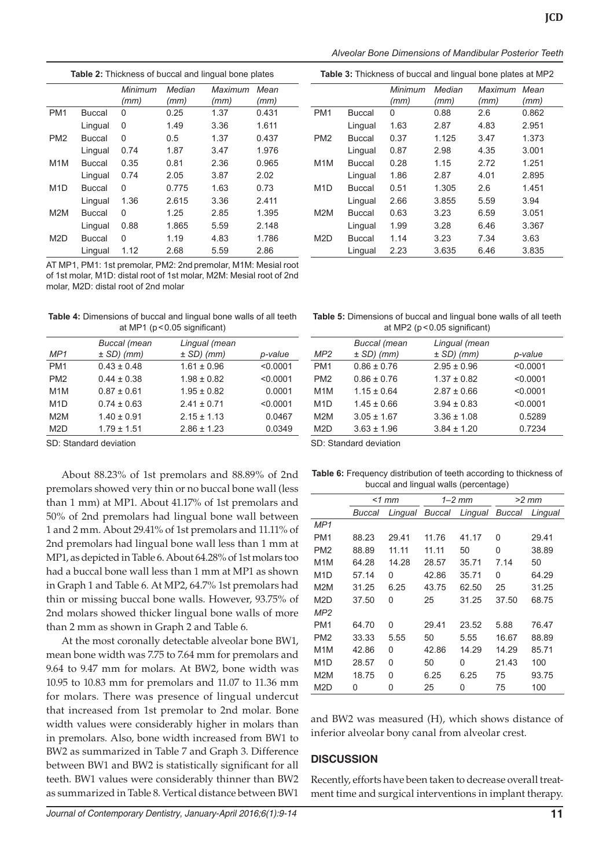| Alveolar Bone Dimensions of Mandibular Posterior Teeth |  |  |
|--------------------------------------------------------|--|--|
|--------------------------------------------------------|--|--|

**Table 3:** Thickness of buccal and lingual bone plates at MP2

| <b>Table 2:</b> Thickness of buccal and lingual bone plates |               |         |        |         |       |
|-------------------------------------------------------------|---------------|---------|--------|---------|-------|
|                                                             |               | Minimum | Median | Maximum | Mean  |
|                                                             |               | (mm)    | (mm)   | (mm)    | (mm)  |
| PM <sub>1</sub>                                             | <b>Buccal</b> | 0       | 0.25   | 1.37    | 0.431 |
|                                                             | Lingual       | 0       | 1.49   | 3.36    | 1.611 |
| PM <sub>2</sub>                                             | Buccal        | 0       | 0.5    | 1.37    | 0.437 |
|                                                             | Lingual       | 0.74    | 1.87   | 3.47    | 1.976 |
| M <sub>1</sub> M                                            | <b>Buccal</b> | 0.35    | 0.81   | 2.36    | 0.965 |
|                                                             | Lingual       | 0.74    | 2.05   | 3.87    | 2.02  |
| M <sub>1</sub> D                                            | Buccal        | 0       | 0.775  | 1.63    | 0.73  |
|                                                             | Lingual       | 1.36    | 2.615  | 3.36    | 2.411 |
| M <sub>2</sub> M                                            | Buccal        | 0       | 1.25   | 2.85    | 1.395 |
|                                                             | Lingual       | 0.88    | 1.865  | 5.59    | 2.148 |
| M <sub>2</sub> D                                            | Buccal        | 0       | 1.19   | 4.83    | 1.786 |
|                                                             | Lingual       | 1.12    | 2.68   | 5.59    | 2.86  |

AT MP1, PM1: 1st premolar, PM2: 2nd premolar, M1M: Mesial root of 1st molar, M1D: distal root of 1st molar, M2M: Mesial root of 2nd molar, M2D: distal root of 2nd molar

**Table 4:** Dimensions of buccal and lingual bone walls of all teeth at MP1 (p<0.05 significant)

| MP <sub>1</sub>  | <b>Buccal</b> (mean<br>$\pm$ SD) (mm) | Lingual (mean<br>$\pm$ SD) (mm) | p-value  |
|------------------|---------------------------------------|---------------------------------|----------|
| PM <sub>1</sub>  | $0.43 \pm 0.48$                       | $1.61 \pm 0.96$                 | < 0.0001 |
| PM <sub>2</sub>  | $0.44 \pm 0.38$                       | $1.98 \pm 0.82$                 | < 0.0001 |
| M <sub>1</sub> M | $0.87 \pm 0.61$                       | $1.95 \pm 0.82$                 | 0.0001   |
| M1D              | $0.74 \pm 0.63$                       | $2.41 \pm 0.71$                 | < 0.0001 |
| M2M              | $1.40 \pm 0.91$                       | $2.15 \pm 1.13$                 | 0.0467   |
| M2D              | $1.79 \pm 1.51$                       | $2.86 \pm 1.23$                 | 0.0349   |
|                  |                                       |                                 |          |

SD: Standard deviation

About 88.23% of 1st premolars and 88.89% of 2nd premolars showed very thin or no buccal bone wall (less than 1 mm) at MP1. About 41.17% of 1st premolars and 50% of 2nd premolars had lingual bone wall between 1 and 2 mm. About 29.41% of 1st premolars and 11.11% of 2nd premolars had lingual bone wall less than 1 mm at MP1, as depicted in Table 6. About 64.28% of 1st molars too had a buccal bone wall less than 1 mm at MP1 as shown in Graph 1 and Table 6. At MP2, 64.7% 1st premolars had thin or missing buccal bone walls. However, 93.75% of 2nd molars showed thicker lingual bone walls of more than 2 mm as shown in Graph 2 and Table 6.

At the most coronally detectable alveolar bone BW1, mean bone width was 7.75 to 7.64 mm for premolars and 9.64 to 9.47 mm for molars. At BW2, bone width was 10.95 to 10.83 mm for premolars and 11.07 to 11.36 mm for molars. There was presence of lingual undercut that increased from 1st premolar to 2nd molar. Bone width values were considerably higher in molars than in premolars. Also, bone width increased from BW1 to BW2 as summarized in Table 7 and Graph 3. Difference between BW1 and BW2 is statistically significant for all teeth. BW1 values were considerably thinner than BW2 as summarized in Table 8. Vertical distance between BW1

|                  |         | Minimum<br>(mm) | Median<br>(mm) | Maximum<br>(mm) | Mean<br>(mm) |
|------------------|---------|-----------------|----------------|-----------------|--------------|
|                  |         |                 |                |                 |              |
| PM <sub>1</sub>  | Buccal  | 0               | 0.88           | 2.6             | 0.862        |
|                  | Lingual | 1.63            | 2.87           | 4.83            | 2.951        |
| PM <sub>2</sub>  | Buccal  | 0.37            | 1.125          | 3.47            | 1.373        |
|                  | Lingual | 0.87            | 2.98           | 4.35            | 3.001        |
| M <sub>1</sub> M | Buccal  | 0.28            | 1.15           | 2.72            | 1.251        |
|                  | Lingual | 1.86            | 2.87           | 4.01            | 2.895        |
| M <sub>1</sub> D | Buccal  | 0.51            | 1.305          | 2.6             | 1.451        |
|                  | Lingual | 2.66            | 3.855          | 5.59            | 3.94         |
| M <sub>2</sub> M | Buccal  | 0.63            | 3.23           | 6.59            | 3.051        |
|                  | Lingual | 1.99            | 3.28           | 6.46            | 3.367        |
| M <sub>2</sub> D | Buccal  | 1.14            | 3.23           | 7.34            | 3.63         |
|                  | Lingual | 2.23            | 3.635          | 6.46            | 3.835        |

| <b>Table 5:</b> Dimensions of buccal and lingual bone walls of all teeth |
|--------------------------------------------------------------------------|
| at MP2 ( $p < 0.05$ significant)                                         |

|                  | <b>Buccal</b> (mean      | Lingual (mean   |          |
|------------------|--------------------------|-----------------|----------|
| MP2              | $\pm$ SD) (mm)           | $\pm$ SD) (mm)  | p-value  |
| PM <sub>1</sub>  | $0.86 \pm 0.76$          | $2.95 \pm 0.96$ | < 0.0001 |
| PM <sub>2</sub>  | $0.86 \pm 0.76$          | $1.37 \pm 0.82$ | < 0.0001 |
| M <sub>1</sub> M | $1.15 \pm 0.64$          | $2.87 \pm 0.66$ | < 0.0001 |
| M <sub>1</sub> D | $1.45 \pm 0.66$          | $3.94 \pm 0.83$ | < 0.0001 |
| M <sub>2</sub> M | $3.05 \pm 1.67$          | $3.36 \pm 1.08$ | 0.5289   |
| M <sub>2</sub> D | $3.63 \pm 1.96$          | $3.84 \pm 1.20$ | 0.7234   |
|                  | OD: Otamaland davitation |                 |          |

SD: Standard deviation

**Table 6:** Frequency distribution of teeth according to thickness of buccal and lingual walls (percentage)

|                  | $<1$ mm |       |       | $1 - 2$ mm                    |       | $>2$ mm |  |
|------------------|---------|-------|-------|-------------------------------|-------|---------|--|
|                  | Buccal  |       |       | Lingual Buccal Lingual Buccal |       | Lingual |  |
| MP <sub>1</sub>  |         |       |       |                               |       |         |  |
| PM <sub>1</sub>  | 88.23   | 29.41 | 11.76 | 41.17                         | 0     | 29.41   |  |
| PM <sub>2</sub>  | 88.89   | 11.11 | 11.11 | 50                            | 0     | 38.89   |  |
| M <sub>1</sub> M | 64.28   | 14.28 | 28.57 | 35.71                         | 7.14  | 50      |  |
| M <sub>1</sub> D | 57.14   | 0     | 42.86 | 35.71                         | 0     | 64.29   |  |
| M <sub>2</sub> M | 31.25   | 6.25  | 43.75 | 62.50                         | 25    | 31.25   |  |
| M <sub>2</sub> D | 37.50   | 0     | 25    | 31.25                         | 37.50 | 68.75   |  |
| MP2              |         |       |       |                               |       |         |  |
| PM <sub>1</sub>  | 64.70   | 0     | 29.41 | 23.52                         | 5.88  | 76.47   |  |
| PM <sub>2</sub>  | 33.33   | 5.55  | 50    | 5.55                          | 16.67 | 88.89   |  |
| M <sub>1</sub> M | 42.86   | 0     | 42.86 | 14.29                         | 14.29 | 85.71   |  |
| M <sub>1</sub> D | 28.57   | 0     | 50    | 0                             | 21.43 | 100     |  |
| M <sub>2</sub> M | 18.75   | 0     | 6.25  | 6.25                          | 75    | 93.75   |  |
| M <sub>2</sub> D | 0       | 0     | 25    | 0                             | 75    | 100     |  |

and BW2 was measured (H), which shows distance of inferior alveolar bony canal from alveolar crest.

## **DISCUSSION**

Recently, efforts have been taken to decrease overall treatment time and surgical interventions in implant therapy.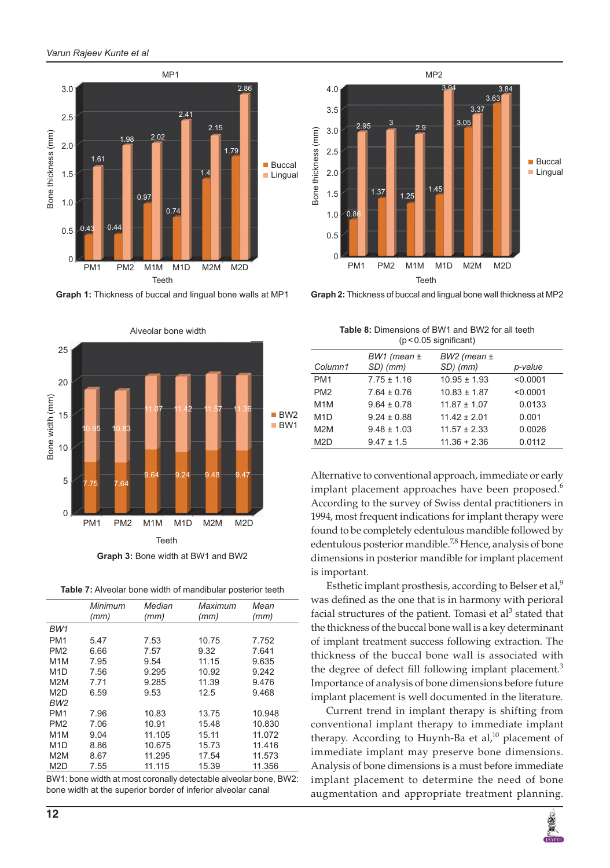

**Graph 1:** Thickness of buccal and lingual bone walls at MP1



**Table 7:** Alveolar bone width of mandibular posterior teeth

|                  | Minimum  | Median   | Maximum              | Mean   |
|------------------|----------|----------|----------------------|--------|
|                  | (mm)     | (mm)     | (mm)                 | (mm)   |
| BW1              |          |          |                      |        |
| PM <sub>1</sub>  | 5.47     | 7.53     | 10.75                | 7.752  |
| PM <sub>2</sub>  | 6.66     | 7.57     | 9.32                 | 7.641  |
| M <sub>1</sub> M | 7.95     | 9.54     | 11.15                | 9.635  |
| M <sub>1</sub> D | 7.56     | 9.295    | 10.92                | 9.242  |
| M <sub>2</sub> M | 7.71     | 9.285    | 11.39                | 9.476  |
| M <sub>2</sub> D | 6.59     | 9.53     | 12.5                 | 9.468  |
| BW2              |          |          |                      |        |
| PM <sub>1</sub>  | 7.96     | 10.83    | 13.75                | 10.948 |
| PM <sub>2</sub>  | 7.06     | 10.91    | 15.48                | 10.830 |
| M <sub>1</sub> M | 9.04     | 11.105   | 15.11                | 11.072 |
| M <sub>1</sub> D | 8.86     | 10.675   | 15.73                | 11.416 |
| M <sub>2</sub> M | 8.67     | 11.295   | 17.54                | 11.573 |
| M <sub>2</sub> D | 7.55     | 11.115   | 15.39                | 11.356 |
| -----            | $\cdots$ | $\cdots$ | .<br>$\cdot$ $\cdot$ | $\sim$ |

BW1: bone width at most coronally detectable alveolar bone, BW2: bone width at the superior border of inferior alveolar canal



**Graph 2:** Thickness of buccal and lingual bone wall thickness at MP2

| <b>Table 8:</b> Dimensions of BW1 and BW2 for all teeth |
|---------------------------------------------------------|
| $(p < 0.05$ significant)                                |

|                  | $BW1$ (mean $\pm$ | $BW2$ (mean $\pm$ |          |
|------------------|-------------------|-------------------|----------|
| Column1          | SD) (mm)          | SD) (mm)          | p-value  |
| PM <sub>1</sub>  | $7.75 \pm 1.16$   | $10.95 \pm 1.93$  | < 0.0001 |
| PM <sub>2</sub>  | $7.64 \pm 0.76$   | $10.83 \pm 1.87$  | < 0.0001 |
| M <sub>1</sub> M | $9.64 \pm 0.78$   | $11.87 \pm 1.07$  | 0.0133   |
| M <sub>1</sub> D | $9.24 \pm 0.88$   | $11.42 \pm 2.01$  | 0.001    |
| M <sub>2</sub> M | $9.48 \pm 1.03$   | $11.57 \pm 2.33$  | 0.0026   |
| M <sub>2</sub> D | $9.47 \pm 1.5$    | $11.36 + 2.36$    | 0.0112   |
|                  |                   |                   |          |

Alternative to conventional approach, immediate or early implant placement approaches have been proposed. $6$ According to the survey of Swiss dental practitioners in 1994, most frequent indications for implant therapy were found to be completely edentulous mandible followed by edentulous posterior mandible.<sup>7,8</sup> Hence, analysis of bone dimensions in posterior mandible for implant placement is important.

Esthetic implant prosthesis, according to Belser et al, $9$ was defined as the one that is in harmony with perioral facial structures of the patient. Tomasi et al<sup>3</sup> stated that the thickness of the buccal bone wall is a key determinant of implant treatment success following extraction. The thickness of the buccal bone wall is associated with the degree of defect fill following implant placement.<sup>3</sup> Importance of analysis of bone dimensions before future implant placement is well documented in the literature.

Current trend in implant therapy is shifting from conventional implant therapy to immediate implant therapy. According to Huynh-Ba et al, $^{10}$  placement of immediate implant may preserve bone dimensions. Analysis of bone dimensions is a must before immediate implant placement to determine the need of bone augmentation and appropriate treatment planning.

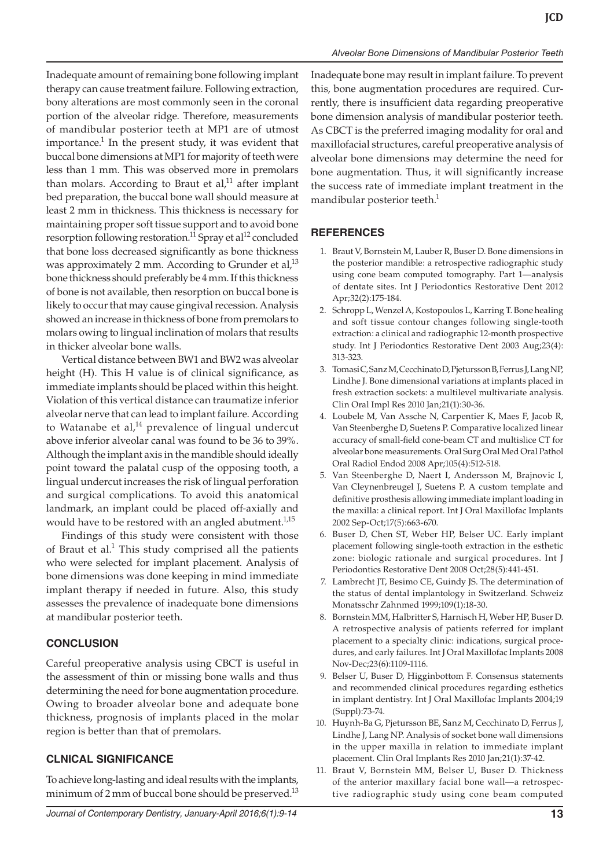Inadequate amount of remaining bone following implant therapy can cause treatment failure. Following extraction, bony alterations are most commonly seen in the coronal portion of the alveolar ridge. Therefore, measurements of mandibular posterior teeth at MP1 are of utmost importance.<sup>1</sup> In the present study, it was evident that buccal bone dimensions at MP1 for majority of teeth were less than 1 mm. This was observed more in premolars than molars. According to Braut et al, $11$  after implant bed preparation, the buccal bone wall should measure at least 2 mm in thickness. This thickness is necessary for maintaining proper soft tissue support and to avoid bone resorption following restoration.<sup>11</sup> Spray et al<sup>12</sup> concluded that bone loss decreased significantly as bone thickness was approximately 2 mm. According to Grunder et al, $^{13}$ bone thickness should preferably be 4 mm. If this thickness of bone is not available, then resorption on buccal bone is likely to occur that may cause gingival recession. Analysis showed an increase in thickness of bone from premolars to molars owing to lingual inclination of molars that results in thicker alveolar bone walls.

Vertical distance between BW1 and BW2 was alveolar height (H). This H value is of clinical significance, as immediate implants should be placed within this height. Violation of this vertical distance can traumatize inferior alveolar nerve that can lead to implant failure. According to Watanabe et al, $^{14}$  prevalence of lingual undercut above inferior alveolar canal was found to be 36 to 39%. Although the implant axis in the mandible should ideally point toward the palatal cusp of the opposing tooth, a lingual undercut increases the risk of lingual perforation and surgical complications. To avoid this anatomical landmark, an implant could be placed off-axially and would have to be restored with an angled abutment.<sup>1,15</sup>

Findings of this study were consistent with those of Braut et al. $1$  This study comprised all the patients who were selected for implant placement. Analysis of bone dimensions was done keeping in mind immediate implant therapy if needed in future. Also, this study assesses the prevalence of inadequate bone dimensions at mandibular posterior teeth.

## **CONCLUSION**

Careful preoperative analysis using CBCT is useful in the assessment of thin or missing bone walls and thus determining the need for bone augmentation procedure. Owing to broader alveolar bone and adequate bone thickness, prognosis of implants placed in the molar region is better than that of premolars.

## **CLNICAL SIGNIFICANCE**

To achieve long-lasting and ideal results with the implants, minimum of 2 mm of buccal bone should be preserved.<sup>13</sup> Inadequate bone may result in implant failure. To prevent this, bone augmentation procedures are required. Currently, there is insufficient data regarding preoperative bone dimension analysis of mandibular posterior teeth. As CBCT is the preferred imaging modality for oral and maxillofacial structures, careful preoperative analysis of alveolar bone dimensions may determine the need for bone augmentation. Thus, it will significantly increase the success rate of immediate implant treatment in the mandibular posterior teeth.<sup>1</sup>

# **REFERENCES**

- 1. Braut V, Bornstein M, Lauber R, Buser D. Bone dimensions in the posterior mandible: a retrospective radiographic study using cone beam computed tomography. Part 1—analysis of dentate sites. Int J Periodontics Restorative Dent 2012 Apr;32(2):175-184.
- 2. Schropp L, Wenzel A, Kostopoulos L, Karring T. Bone healing and soft tissue contour changes following single-tooth extraction: a clinical and radiographic 12-month prospective study. Int J Periodontics Restorative Dent 2003 Aug;23(4): 313-323.
- 3. Tomasi C, Sanz M, Cecchinato D, Pjetursson B, Ferrus J, Lang NP, Lindhe J. Bone dimensional variations at implants placed in fresh extraction sockets: a multilevel multivariate analysis. Clin Oral Impl Res 2010 Jan;21(1):30-36.
- 4. Loubele M, Van Assche N, Carpentier K, Maes F, Jacob R, Van Steenberghe D, Suetens P. Comparative localized linear accuracy of small-field cone-beam CT and multislice CT for alveolar bone measurements. Oral Surg Oral Med Oral Pathol Oral Radiol Endod 2008 Apr;105(4):512-518.
- 5. Van Steenberghe D, Naert I, Andersson M, Brajnovic I, Van Cleynenbreugel J, Suetens P. A custom template and definitive prosthesis allowing immediate implant loading in the maxilla: a clinical report. Int J Oral Maxillofac Implants 2002 Sep-Oct;17(5):663-670.
- 6. Buser D, Chen ST, Weber HP, Belser UC. Early implant placement following single-tooth extraction in the esthetic zone: biologic rationale and surgical procedures. Int J Periodontics Restorative Dent 2008 Oct;28(5):441-451.
- 7. Lambrecht JT, Besimo CE, Guindy JS. The determination of the status of dental implantology in Switzerland. Schweiz Monatsschr Zahnmed 1999;109(1):18-30.
- 8. Bornstein MM, Halbritter S, Harnisch H, Weber HP, Buser D. A retrospective analysis of patients referred for implant placement to a specialty clinic: indications, surgical procedures, and early failures. Int J Oral Maxillofac Implants 2008 Nov-Dec;23(6):1109-1116.
- 9. Belser U, Buser D, Higginbottom F. Consensus statements and recommended clinical procedures regarding esthetics in implant dentistry. Int J Oral Maxillofac Implants 2004;19 (Suppl):73-74.
- 10. Huynh-Ba G, Pjetursson BE, Sanz M, Cecchinato D, Ferrus J, Lindhe J, Lang NP. Analysis of socket bone wall dimensions in the upper maxilla in relation to immediate implant placement. Clin Oral Implants Res 2010 Jan;21(1):37-42.
- 11. Braut V, Bornstein MM, Belser U, Buser D. Thickness of the anterior maxillary facial bone wall—a retrospective radiographic study using cone beam computed